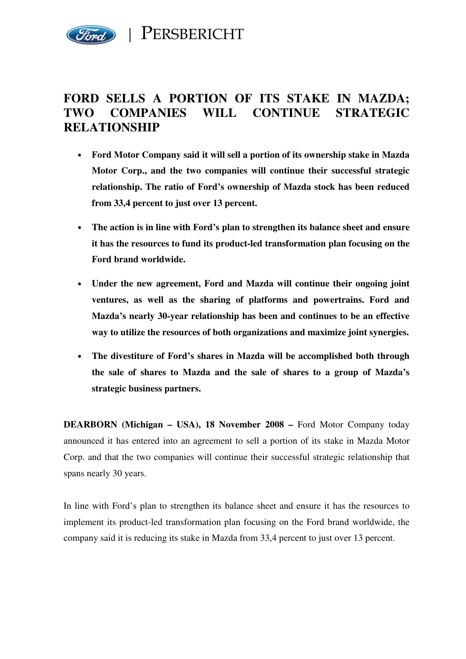

## **FORD SELLS A PORTION OF ITS STAKE IN MAZDA; TWO COMPANIES WILL CONTINUE STRATEGIC RELATIONSHIP**

- **Ford Motor Company said it will sell a portion of its ownership stake in Mazda Motor Corp., and the two companies will continue their successful strategic relationship. The ratio of Ford's ownership of Mazda stock has been reduced from 33,4 percent to just over 13 percent.**
- **The action is in line with Ford's plan to strengthen its balance sheet and ensure it has the resources to fund its product-led transformation plan focusing on the Ford brand worldwide.**
- **Under the new agreement, Ford and Mazda will continue their ongoing joint ventures, as well as the sharing of platforms and powertrains. Ford and Mazda's nearly 30-year relationship has been and continues to be an effective way to utilize the resources of both organizations and maximize joint synergies.**
- **The divestiture of Ford's shares in Mazda will be accomplished both through the sale of shares to Mazda and the sale of shares to a group of Mazda's strategic business partners.**

**DEARBORN (Michigan – USA), 18 November 2008 –** Ford Motor Company today announced it has entered into an agreement to sell a portion of its stake in Mazda Motor Corp. and that the two companies will continue their successful strategic relationship that spans nearly 30 years.

In line with Ford's plan to strengthen its balance sheet and ensure it has the resources to implement its product-led transformation plan focusing on the Ford brand worldwide, the company said it is reducing its stake in Mazda from 33,4 percent to just over 13 percent.